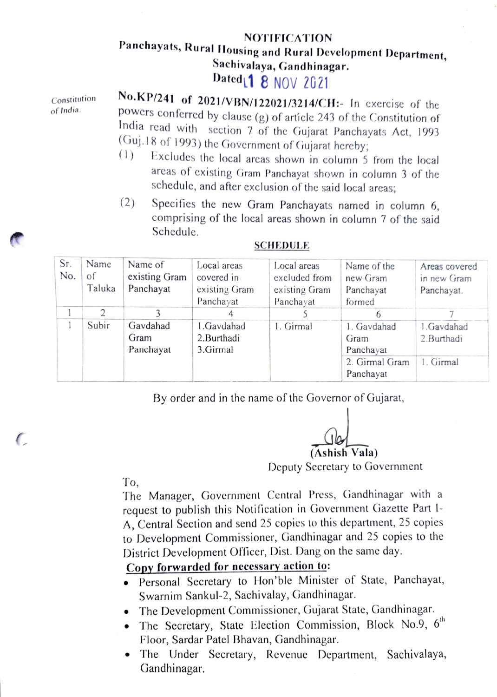## NOTIFICATION Panchayats, Rural Housing and Rural Development Department,<br>Sachivalaya, Gandhinagar.<br>Dated<sub>1</sub> 8 NOV 2021

Constitution of India.

No.KP/241 of 2021/VBN/122021/3214/CH:- In exercise of the powers conferred by clause (g) of article 243 of the Constitution of India read with section 7 of the Gujarat Panchayats Act, 1993<br>(Guj.18 of 1993) the Government of Gujarat hereby;

- $(1)$  Excludes the local areas shown in column 5 from the local areas of existing Gram Panchayat shown in column 3 of the schedule, and after exclusion of the said local arcas;
- (2) Specifies the new Gram Panchayats named in column 6, comprising of the local areas shown in column 7 of the said Schedule.

| Sr.<br>No. | Name<br>of<br>Taluka | Name of<br>existing Gram<br>Panchayat | Local areas<br>covered in<br>existing Gram<br>Panchayat | Local areas<br>excluded from<br>existing Gram<br>Panchayat | Name of the<br>new Gram<br>Panchayat<br>formed                  | Areas covered<br>in new Gram<br>Panchayat. |
|------------|----------------------|---------------------------------------|---------------------------------------------------------|------------------------------------------------------------|-----------------------------------------------------------------|--------------------------------------------|
|            | $\mathcal{D}$        |                                       |                                                         |                                                            |                                                                 |                                            |
|            | Subir                | Gavdahad<br>Gram<br>Panchayat         | 1.Gavdahad<br>2.Burthadi<br>3.Girmal                    | 1. Girmal                                                  | 1. Gavdahad<br>Gram<br>Panchayat<br>2. Girmal Gram<br>Panchayat | 1.Gavdahad<br>2.Burthadi<br>1. Girmal      |

## SCHEDULE

By order and in the name of the Governor of Gujarat,

(Ashish Vala)

Deputy Secretary to Government

To,

(

The Manager, Government Central Press, Gandhinagar with a request to publish this Notification in Government Gazette Part I-A, Central Section and send 25 copies to this department, 25 copies to Development Commissioner, Gandhinagar and 25 copies to the District Development Oficer, Dist. Dang on the same day.

## Copy forwarded for necessary action to:

- Personal Secretary to Hon'ble Minister of State, Panchayat, Swarnim Sankul-2, Sachivalay, Gandhinagar.
- The Development Commissioner, Gujarat State, Gandhinagar.
- The Secretary, State Election Commission, Block No.9,  $6<sup>th</sup>$ Floor, Sardar Patel Bhavan, Gandhinagar.
- The Under Secretary, Revenue Department, Sachivalaya, Gandhinagar.